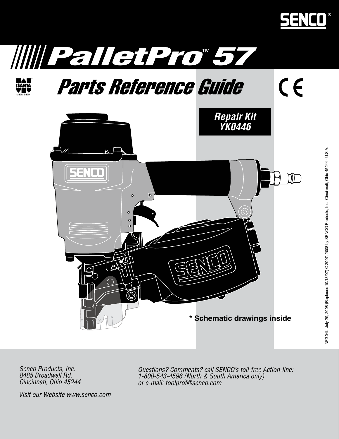

 $C<sub>f</sub>$ 





# Parts Reference Guide



Senco Products, Inc. 8485 Broadwell Rd. Cincinnati, Ohio 45244 Questions? Comments? call SENCO's toll-free Action-line: 1-800-543-4596 (North & South America only) or e-mail: toolprof@senco.com

Visit our Website www.senco.com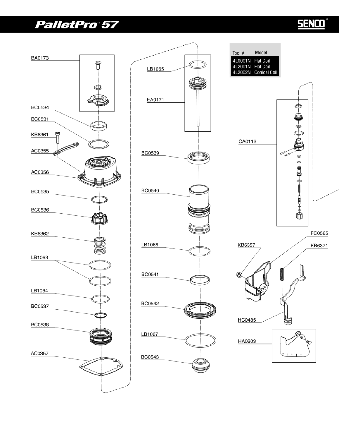## PalletPro®57

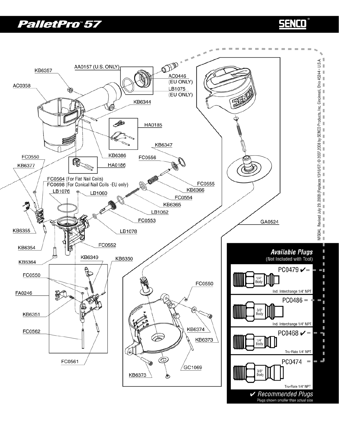#### PalletPro®57

## **SENCO**